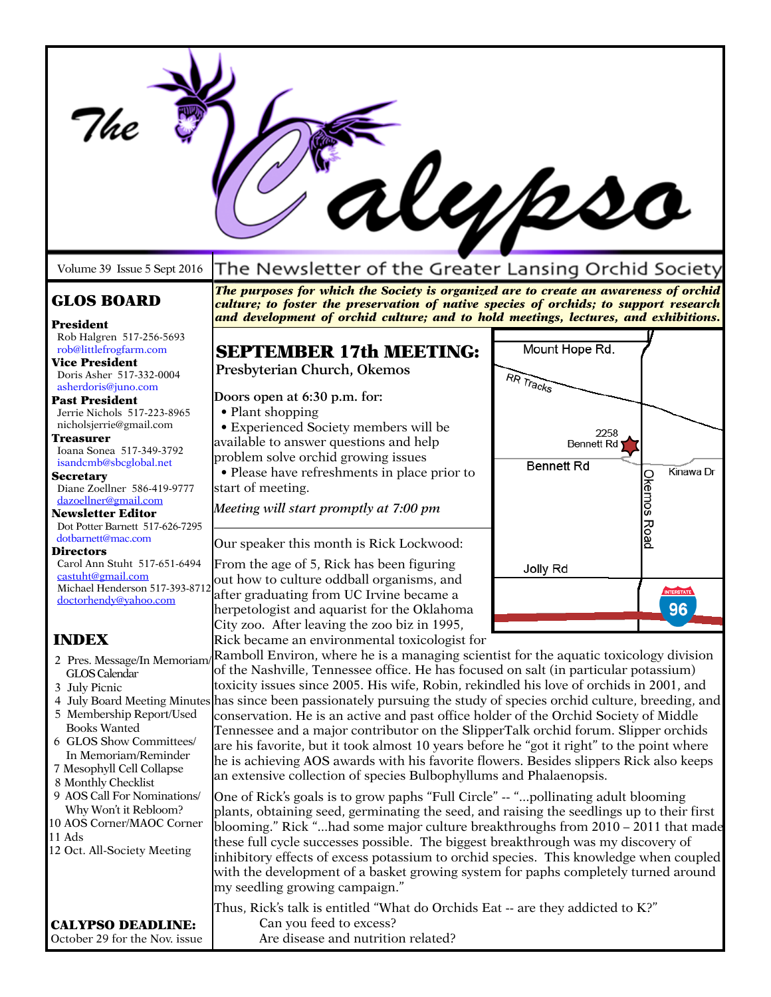|                                                                                                                                                                                                                                                                                                                                                                        |                                                                                                                                                                                                                                                                                                                                                                                                                                                                                                                                                                                                                                                                                                                                                                                                                                                                                                                                                                                                                                                                                                                                                                                                                                                                                                                                                                                                                                                                                                                                                                                                            | rl <i>ubs</i> o                                |                                 |
|------------------------------------------------------------------------------------------------------------------------------------------------------------------------------------------------------------------------------------------------------------------------------------------------------------------------------------------------------------------------|------------------------------------------------------------------------------------------------------------------------------------------------------------------------------------------------------------------------------------------------------------------------------------------------------------------------------------------------------------------------------------------------------------------------------------------------------------------------------------------------------------------------------------------------------------------------------------------------------------------------------------------------------------------------------------------------------------------------------------------------------------------------------------------------------------------------------------------------------------------------------------------------------------------------------------------------------------------------------------------------------------------------------------------------------------------------------------------------------------------------------------------------------------------------------------------------------------------------------------------------------------------------------------------------------------------------------------------------------------------------------------------------------------------------------------------------------------------------------------------------------------------------------------------------------------------------------------------------------------|------------------------------------------------|---------------------------------|
| Volume 39 Issue 5 Sept 2016                                                                                                                                                                                                                                                                                                                                            | The Newsletter of the Greater Lansing Orchid Society                                                                                                                                                                                                                                                                                                                                                                                                                                                                                                                                                                                                                                                                                                                                                                                                                                                                                                                                                                                                                                                                                                                                                                                                                                                                                                                                                                                                                                                                                                                                                       |                                                |                                 |
| <b>GLOS BOARD</b>                                                                                                                                                                                                                                                                                                                                                      | The purposes for which the Society is organized are to create an awareness of orchid<br>culture; to foster the preservation of native species of orchids; to support research<br>and development of orchid culture; and to hold meetings, lectures, and exhibitions.                                                                                                                                                                                                                                                                                                                                                                                                                                                                                                                                                                                                                                                                                                                                                                                                                                                                                                                                                                                                                                                                                                                                                                                                                                                                                                                                       |                                                |                                 |
| President<br>Rob Halgren 517-256-5693<br>rob@littlefrogfarm.com<br><b>Vice President</b><br>Doris Asher 517-332-0004<br>asherdoris@juno.com                                                                                                                                                                                                                            | <b>SEPTEMBER 17th MEETING:</b><br>Presbyterian Church, Okemos                                                                                                                                                                                                                                                                                                                                                                                                                                                                                                                                                                                                                                                                                                                                                                                                                                                                                                                                                                                                                                                                                                                                                                                                                                                                                                                                                                                                                                                                                                                                              | Mount Hope Rd.<br>RR Tracks                    |                                 |
| <b>Past President</b><br>Jerrie Nichols 517-223-8965<br>nicholsjerrie@gmail.com<br>Treasurer<br>Ioana Sonea 517-349-3792<br>isandcmb@sbcglobal.net<br><b>Secretary</b><br>Diane Zoellner 586-419-9777<br>dazoellner@gmail.com<br><b>Newsletter Editor</b>                                                                                                              | Doors open at 6:30 p.m. for:<br>• Plant shopping<br>• Experienced Society members will be<br>available to answer questions and help<br>problem solve orchid growing issues<br>• Please have refreshments in place prior to<br>start of meeting.<br>Meeting will start promptly at 7:00 pm                                                                                                                                                                                                                                                                                                                                                                                                                                                                                                                                                                                                                                                                                                                                                                                                                                                                                                                                                                                                                                                                                                                                                                                                                                                                                                                  | 2258<br><b>Bennett Rd</b><br><b>Bennett Rd</b> | Kinawa Dr<br><b>Okemos Road</b> |
| Dot Potter Barnett 517-626-7295<br>dotbarnett@mac.com<br><b>Directors</b><br>Carol Ann Stuht 517-651-6494<br>castuht@gmail.com<br>Michael Henderson 517-393-8712<br>doctorhendy@yahoo.com                                                                                                                                                                              | Our speaker this month is Rick Lockwood:<br>From the age of 5, Rick has been figuring<br>out how to culture oddball organisms, and<br>after graduating from UC Irvine became a<br>herpetologist and aquarist for the Oklahoma                                                                                                                                                                                                                                                                                                                                                                                                                                                                                                                                                                                                                                                                                                                                                                                                                                                                                                                                                                                                                                                                                                                                                                                                                                                                                                                                                                              | Jolly Rd                                       | <b>INTERSTATE</b><br>96         |
| <b>INDEX</b><br>2 Pres. Message/In Memoriam/<br>GLOS Calendar<br>3 July Picnic<br>5 Membership Report/Used<br><b>Books Wanted</b><br>6 GLOS Show Committees/<br>In Memoriam/Reminder<br>7 Mesophyll Cell Collapse<br>8 Monthly Checklist<br>9 AOS Call For Nominations/<br>Why Won't it Rebloom?<br>10 AOS Corner/MAOC Corner<br>11 Ads<br>12 Oct. All-Society Meeting | City zoo. After leaving the zoo biz in 1995,<br>Rick became an environmental toxicologist for<br>Ramboll Environ, where he is a managing scientist for the aquatic toxicology division<br>of the Nashville, Tennessee office. He has focused on salt (in particular potassium)<br>toxicity issues since 2005. His wife, Robin, rekindled his love of orchids in 2001, and<br>4 July Board Meeting Minutes has since been passionately pursuing the study of species orchid culture, breeding, and<br>conservation. He is an active and past office holder of the Orchid Society of Middle<br>Tennessee and a major contributor on the SlipperTalk orchid forum. Slipper orchids<br>are his favorite, but it took almost 10 years before he "got it right" to the point where<br>he is achieving AOS awards with his favorite flowers. Besides slippers Rick also keeps<br>an extensive collection of species Bulbophyllums and Phalaenopsis.<br>One of Rick's goals is to grow paphs "Full Circle" -- "pollinating adult blooming<br>plants, obtaining seed, germinating the seed, and raising the seedlings up to their first<br>blooming." Rick "had some major culture breakthroughs from 2010 – 2011 that made<br>these full cycle successes possible. The biggest breakthrough was my discovery of<br>inhibitory effects of excess potassium to orchid species. This knowledge when coupled<br>with the development of a basket growing system for paphs completely turned around<br>my seedling growing campaign."<br>Thus, Rick's talk is entitled "What do Orchids Eat -- are they addicted to K?" |                                                |                                 |
| <b>CALYPSO DEADLINE:</b><br>October 29 for the Nov. issue                                                                                                                                                                                                                                                                                                              | Can you feed to excess?<br>Are disease and nutrition related?                                                                                                                                                                                                                                                                                                                                                                                                                                                                                                                                                                                                                                                                                                                                                                                                                                                                                                                                                                                                                                                                                                                                                                                                                                                                                                                                                                                                                                                                                                                                              |                                                |                                 |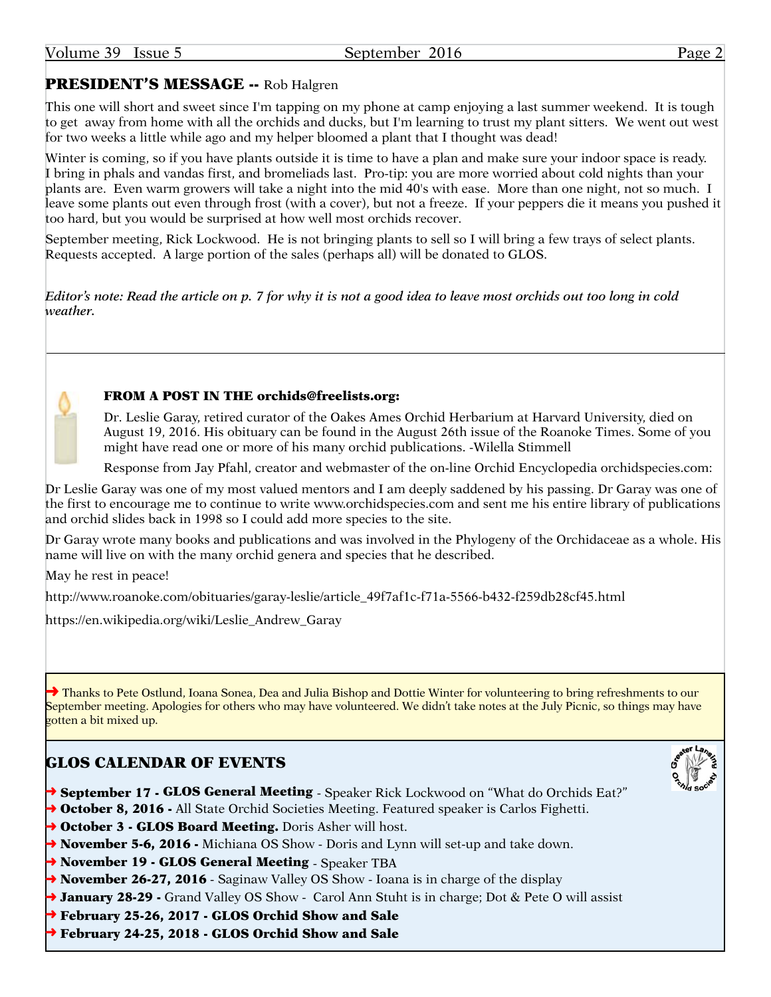## PRESIDENT'S MESSAGE -- Rob Halgren

This one will short and sweet since I'm tapping on my phone at camp enjoying a last summer weekend. It is tough to get away from home with all the orchids and ducks, but I'm learning to trust my plant sitters. We went out west for two weeks a little while ago and my helper bloomed a plant that I thought was dead!

Winter is coming, so if you have plants outside it is time to have a plan and make sure your indoor space is ready. I bring in phals and vandas first, and bromeliads last. Pro-tip: you are more worried about cold nights than your plants are. Even warm growers will take a night into the mid 40's with ease. More than one night, not so much. I leave some plants out even through frost (with a cover), but not a freeze. If your peppers die it means you pushed it too hard, but you would be surprised at how well most orchids recover.

September meeting, Rick Lockwood. He is not bringing plants to sell so I will bring a few trays of select plants. Requests accepted. A large portion of the sales (perhaps all) will be donated to GLOS.

*Editor's note: Read the article on p. 7 for why it is not a good idea to leave most orchids out too long in cold weather.*



#### FROM A POST IN THE [orchids@freelists.org](mailto:orchids@freelists.org):

Dr. Leslie Garay, retired curator of the Oakes Ames Orchid Herbarium at Harvard University, died on August 19, 2016. His obituary can be found in the August 26th issue of the Roanoke Times. Some of you might have read one or more of his many orchid publications. -Wilella Stimmell

Response from Jay Pfahl, creator and webmaster of the on-line Orchid Encyclopedia<orchidspecies.com>:

Dr Leslie Garay was one of my most valued mentors and I am deeply saddened by his passing. Dr Garay was one of the first to encourage me to continue to write<www.orchidspecies.com>and sent me his entire library of publications and orchid slides back in 1998 so I could add more species to the site.

Dr Garay wrote many books and publications and was involved in the Phylogeny of the Orchidaceae as a whole. His name will live on with the many orchid genera and species that he described.

May he rest in peace!

[http://www.roanoke.com/obituaries/garay-leslie/article\\_49f7af1c-f71a-5566-b432-f259db28cf45.html](http://www.roanoke.com/obituaries/garay-leslie/article_49f7af1c-f71a-5566-b432-f259db28cf45.html)

[https://en.wikipedia.org/wiki/Leslie\\_Andrew\\_Garay](https://en.wikipedia.org/wiki/Leslie_Andrew_Garay)

→ Thanks to Pete Ostlund, Ioana Sonea, Dea and Julia Bishop and Dottie Winter for volunteering to bring refreshments to our September meeting. Apologies for others who may have volunteered. We didn't take notes at the July Picnic, so things may have gotten a bit mixed up.

## GLOS CALENDAR OF EVENTS

- → September 17 GLOS General Meeting Speaker Rick Lockwood on "What do Orchids Eat?"
- → October 8, 2016 All State Orchid Societies Meeting. Featured speaker is Carlos Fighetti.
- → October 3 GLOS Board Meeting. Doris Asher will host.
- → November 5-6, 2016 Michiana OS Show Doris and Lynn will set-up and take down.
- → November 19 GLOS General Meeting Speaker TBA
- → November 26-27, 2016 Saginaw Valley OS Show Ioana is in charge of the display
- → **January 28-29** Grand Valley OS Show Carol Ann Stuht is in charge; Dot & Pete O will assist
- ➜ February 25-26, 2017 GLOS Orchid Show and Sale
- ➜ February 24-25, 2018 GLOS Orchid Show and Sale

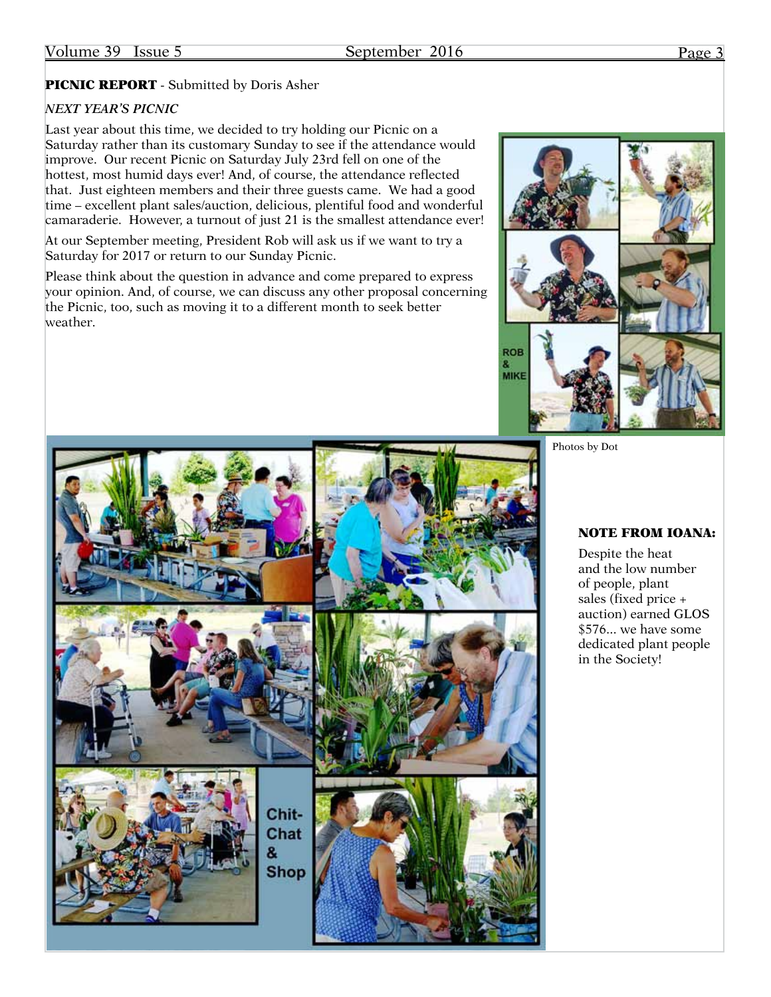### PICNIC REPORT - Submitted by Doris Asher

#### *NEXT YEAR'S PICNIC*

Last year about this time, we decided to try holding our Picnic on a Saturday rather than its customary Sunday to see if the attendance would improve. Our recent Picnic on Saturday July 23rd fell on one of the hottest, most humid days ever! And, of course, the attendance reflected that. Just eighteen members and their three guests came. We had a good time – excellent plant sales/auction, delicious, plentiful food and wonderful camaraderie. However, a turnout of just 21 is the smallest attendance ever!

At our September meeting, President Rob will ask us if we want to try a Saturday for 2017 or return to our Sunday Picnic.

Please think about the question in advance and come prepared to express your opinion. And, of course, we can discuss any other proposal concerning the Picnic, too, such as moving it to a different month to seek better weather.



Photos by Dot



#### NOTE FROM IOANA:

Despite the heat and the low number of people, plant sales (fixed price + auction) earned GLOS \$576... we have some dedicated plant people in the Society!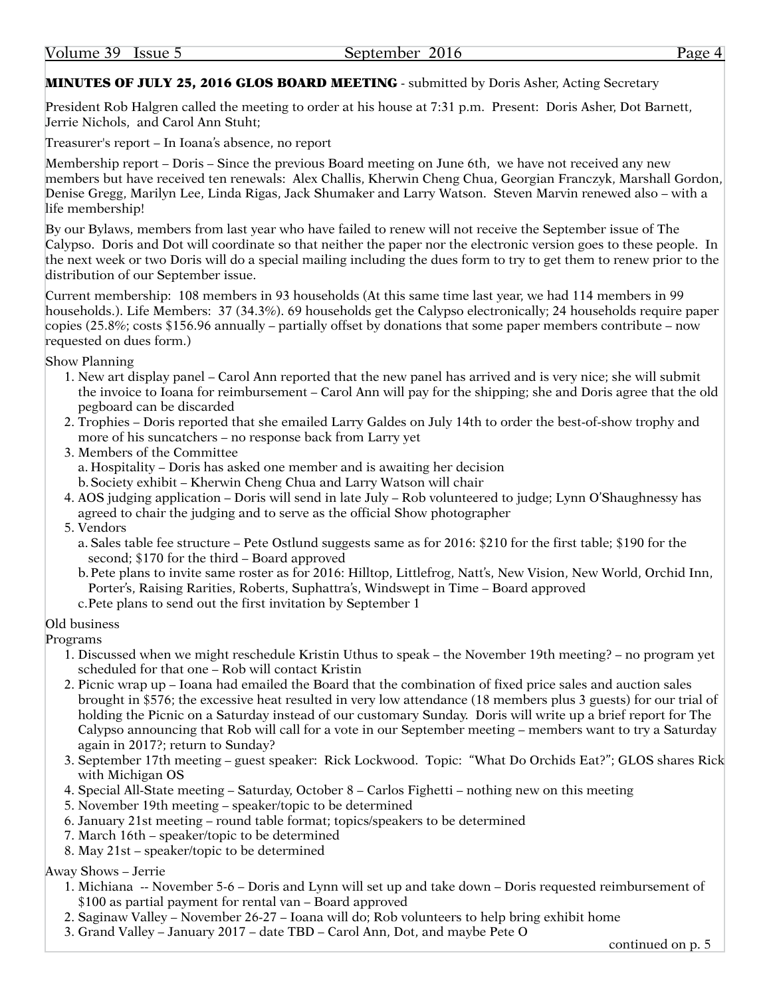#### MINUTES OF JULY 25, 2016 GLOS BOARD MEETING - submitted by Doris Asher, Acting Secretary

President Rob Halgren called the meeting to order at his house at 7:31 p.m. Present: Doris Asher, Dot Barnett, Jerrie Nichols, and Carol Ann Stuht;

Treasurer's report – In Ioana's absence, no report

Membership report – Doris – Since the previous Board meeting on June 6th, we have not received any new members but have received ten renewals: Alex Challis, Kherwin Cheng Chua, Georgian Franczyk, Marshall Gordon, Denise Gregg, Marilyn Lee, Linda Rigas, Jack Shumaker and Larry Watson. Steven Marvin renewed also – with a life membership!

By our Bylaws, members from last year who have failed to renew will not receive the September issue of The Calypso. Doris and Dot will coordinate so that neither the paper nor the electronic version goes to these people. In the next week or two Doris will do a special mailing including the dues form to try to get them to renew prior to the distribution of our September issue.

Current membership: 108 members in 93 households (At this same time last year, we had 114 members in 99 households.). Life Members: 37 (34.3%). 69 households get the Calypso electronically; 24 households require paper copies (25.8%; costs \$156.96 annually – partially offset by donations that some paper members contribute – now requested on dues form.)

Show Planning

- 1. New art display panel Carol Ann reported that the new panel has arrived and is very nice; she will submit the invoice to Ioana for reimbursement – Carol Ann will pay for the shipping; she and Doris agree that the old pegboard can be discarded
- 2. Trophies Doris reported that she emailed Larry Galdes on July 14th to order the best-of-show trophy and more of his suncatchers – no response back from Larry yet
- 3. Members of the Committee a. Hospitality – Doris has asked one member and is awaiting her decision b.Society exhibit – Kherwin Cheng Chua and Larry Watson will chair
- 4. AOS judging application Doris will send in late July Rob volunteered to judge; Lynn O'Shaughnessy has agreed to chair the judging and to serve as the official Show photographer
- 5. Vendors
	- a. Sales table fee structure Pete Ostlund suggests same as for 2016: \$210 for the first table; \$190 for the second; \$170 for the third – Board approved
	- b.Pete plans to invite same roster as for 2016: Hilltop, Littlefrog, Natt's, New Vision, New World, Orchid Inn, Porter's, Raising Rarities, Roberts, Suphattra's, Windswept in Time – Board approved c.Pete plans to send out the first invitation by September 1
- Old business

Programs

- 1. Discussed when we might reschedule Kristin Uthus to speak the November 19th meeting? no program yet scheduled for that one – Rob will contact Kristin
- 2. Picnic wrap up Ioana had emailed the Board that the combination of fixed price sales and auction sales brought in \$576; the excessive heat resulted in very low attendance (18 members plus 3 guests) for our trial of holding the Picnic on a Saturday instead of our customary Sunday. Doris will write up a brief report for The Calypso announcing that Rob will call for a vote in our September meeting – members want to try a Saturday again in 2017?; return to Sunday?
- 3. September 17th meeting guest speaker: Rick Lockwood. Topic: "What Do Orchids Eat?"; GLOS shares Rick with Michigan OS
- 4. Special All-State meeting Saturday, October 8 Carlos Fighetti nothing new on this meeting
- 5. November 19th meeting speaker/topic to be determined
- 6. January 21st meeting round table format; topics/speakers to be determined
- 7. March 16th speaker/topic to be determined
- 8. May 21st speaker/topic to be determined

#### Away Shows – Jerrie

- 1. Michiana -- November 5-6 Doris and Lynn will set up and take down Doris requested reimbursement of \$100 as partial payment for rental van – Board approved
- 2. Saginaw Valley November 26-27 Ioana will do; Rob volunteers to help bring exhibit home
- 3. Grand Valley January 2017 date TBD Carol Ann, Dot, and maybe Pete O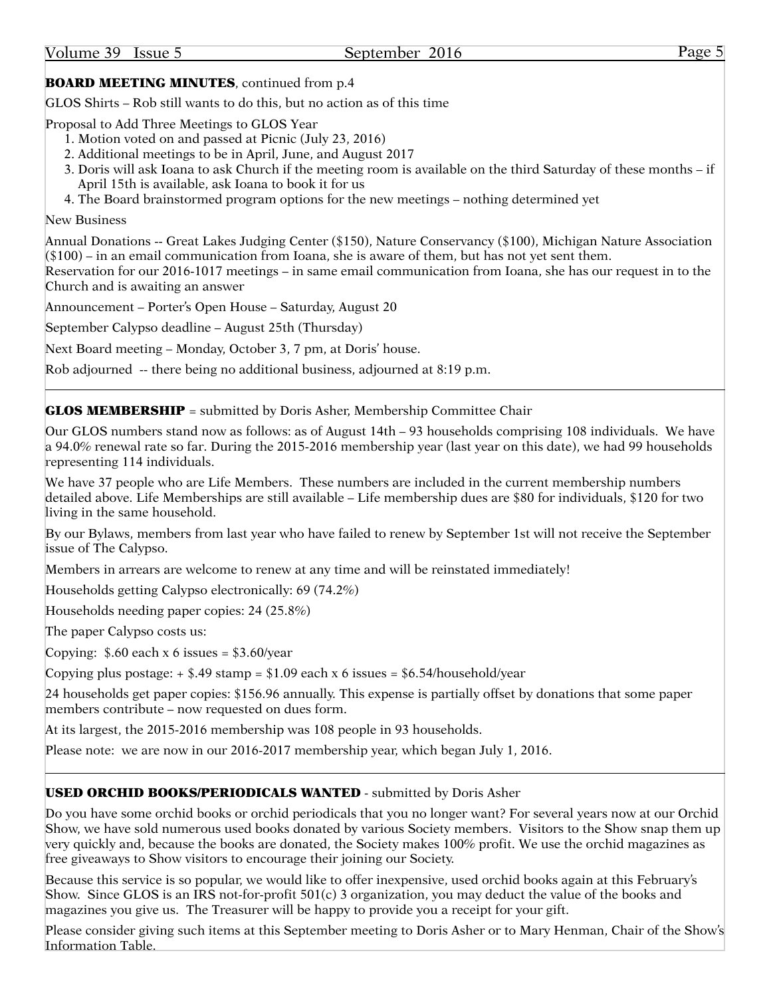### **BOARD MEETING MINUTES**, continued from p.4

GLOS Shirts – Rob still wants to do this, but no action as of this time

Proposal to Add Three Meetings to GLOS Year

- 1. Motion voted on and passed at Picnic (July 23, 2016)
- 2. Additional meetings to be in April, June, and August 2017
- 3. Doris will ask Ioana to ask Church if the meeting room is available on the third Saturday of these months if April 15th is available, ask Ioana to book it for us
- 4. The Board brainstormed program options for the new meetings nothing determined yet

#### New Business

Annual Donations -- Great Lakes Judging Center (\$150), Nature Conservancy (\$100), Michigan Nature Association (\$100) – in an email communication from Ioana, she is aware of them, but has not yet sent them.

Reservation for our 2016-1017 meetings – in same email communication from Ioana, she has our request in to the Church and is awaiting an answer

Announcement – Porter's Open House – Saturday, August 20

September Calypso deadline – August 25th (Thursday)

Next Board meeting – Monday, October 3, 7 pm, at Doris' house.

Rob adjourned -- there being no additional business, adjourned at 8:19 p.m.

**GLOS MEMBERSHIP** = submitted by Doris Asher, Membership Committee Chair

Our GLOS numbers stand now as follows: as of August 14th – 93 households comprising 108 individuals. We have a 94.0% renewal rate so far. During the 2015-2016 membership year (last year on this date), we had 99 households representing 114 individuals.

We have 37 people who are Life Members. These numbers are included in the current membership numbers detailed above. Life Memberships are still available – Life membership dues are \$80 for individuals, \$120 for two living in the same household.

By our Bylaws, members from last year who have failed to renew by September 1st will not receive the September issue of The Calypso.

Members in arrears are welcome to renew at any time and will be reinstated immediately!

Households getting Calypso electronically: 69 (74.2%)

Households needing paper copies: 24 (25.8%)

The paper Calypso costs us:

Copying:  $$.60$  each x 6 issues =  $$3.60$ /year

Copying plus postage:  $\div$  \$.49 stamp = \$1.09 each x 6 issues = [\\$6.54/household/year](6.54/household/year)

24 households get paper copies: \$156.96 annually. This expense is partially offset by donations that some paper members contribute – now requested on dues form.

At its largest, the 2015-2016 membership was 108 people in 93 households.

Please note: we are now in our 2016-2017 membership year, which began July 1, 2016.

#### USED ORCHID BOOKS/PERIODICALS WANTED - submitted by Doris Asher

Do you have some orchid books or orchid periodicals that you no longer want? For several years now at our Orchid Show, we have sold numerous used books donated by various Society members. Visitors to the Show snap them up very quickly and, because the books are donated, the Society makes 100% profit. We use the orchid magazines as free giveaways to Show visitors to encourage their joining our Society.

Because this service is so popular, we would like to offer inexpensive, used orchid books again at this February's Show. Since GLOS is an IRS not-for-profit 501(c) 3 organization, you may deduct the value of the books and magazines you give us. The Treasurer will be happy to provide you a receipt for your gift.

Please consider giving such items at this September meeting to Doris Asher or to Mary Henman, Chair of the Show's Information Table.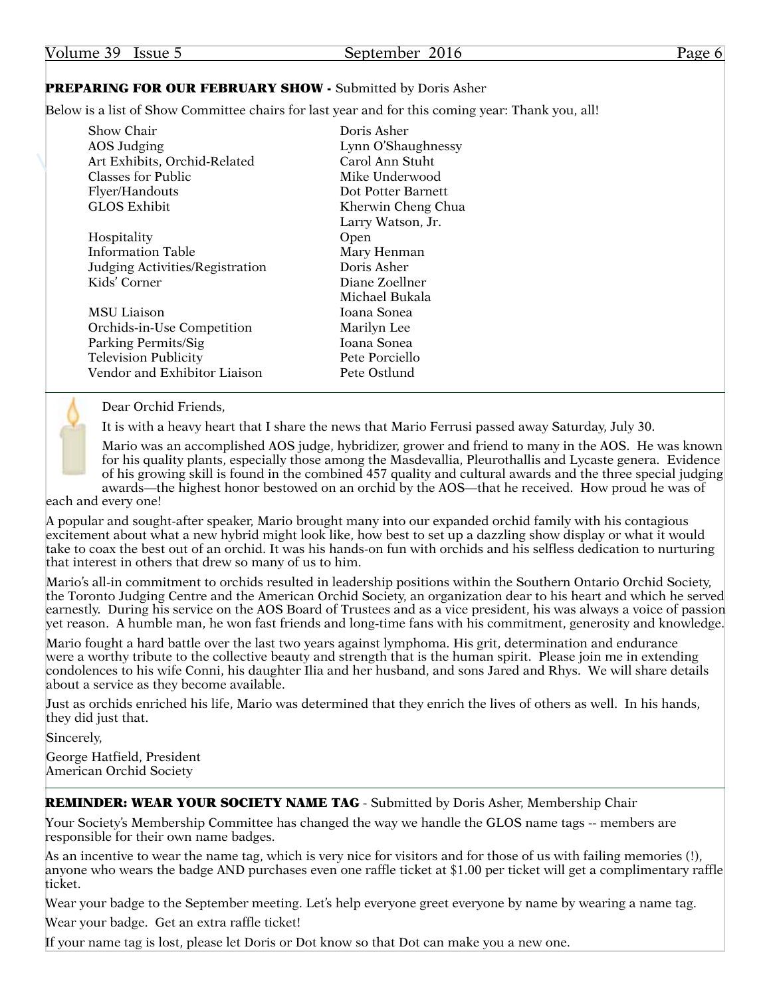| Volume 39<br>Issue 5                                                                                                                   | September 2016                                                                                                     | Page 6 |
|----------------------------------------------------------------------------------------------------------------------------------------|--------------------------------------------------------------------------------------------------------------------|--------|
| <b>PREPARING FOR OUR FEBRUARY SHOW - Submitted by Doris Asher</b>                                                                      |                                                                                                                    |        |
|                                                                                                                                        | Below is a list of Show Committee chairs for last year and for this coming year: Thank you, all!                   |        |
| Show Chair<br>AOS Judging<br>Art Exhibits, Orchid-Related<br>Classes for Public<br>Flyer/Handouts<br><b>GLOS Exhibit</b>               | Doris Asher<br>Lynn O'Shaughnessy<br>Carol Ann Stuht<br>Mike Underwood<br>Dot Potter Barnett<br>Kherwin Cheng Chua |        |
| Hospitality<br><b>Information Table</b><br>Judging Activities/Registration<br>Kids' Corner                                             | Larry Watson, Jr.<br>Open<br>Mary Henman<br>Doris Asher<br>Diane Zoellner                                          |        |
| <b>MSU Liaison</b><br>Orchids-in-Use Competition<br>Parking Permits/Sig<br><b>Television Publicity</b><br>Vendor and Exhibitor Liaison | Michael Bukala<br>Ioana Sonea<br>Marilyn Lee<br>Ioana Sonea<br>Pete Porciello<br>Pete Ostlund                      |        |

![](_page_5_Picture_1.jpeg)

Dear Orchid Friends,

It is with a heavy heart that I share the news that Mario Ferrusi passed away Saturday, July 30.

Mario was an accomplished AOS judge, hybridizer, grower and friend to many in the AOS. He was known for his quality plants, especially those among the Masdevallia, Pleurothallis and Lycaste genera. Evidence of his growing skill is found in the combined 457 quality and cultural awards and the three special judging awards—the highest honor bestowed on an orchid by the AOS—that he received. How proud he was of

each and every one!

A popular and sought-after speaker, Mario brought many into our expanded orchid family with his contagious excitement about what a new hybrid might look like, how best to set up a dazzling show display or what it would take to coax the best out of an orchid. It was his hands-on fun with orchids and his selfless dedication to nurturing that interest in others that drew so many of us to him.

Mario's all-in commitment to orchids resulted in leadership positions within the Southern Ontario Orchid Society, the Toronto Judging Centre and the American Orchid Society, an organization dear to his heart and which he served earnestly. During his service on the AOS Board of Trustees and as a vice president, his was always a voice of passion yet reason. A humble man, he won fast friends and long-time fans with his commitment, generosity and knowledge.

Mario fought a hard battle over the last two years against lymphoma. His grit, determination and endurance were a worthy tribute to the collective beauty and strength that is the human spirit. Please join me in extending condolences to his wife Conni, his daughter Ilia and her husband, and sons Jared and Rhys. We will share details about a service as they become available.

Just as orchids enriched his life, Mario was determined that they enrich the lives of others as well. In his hands, they did just that.

Sincerely,

George Hatfield, President American Orchid Society

#### REMINDER: WEAR YOUR SOCIETY NAME TAG - Submitted by Doris Asher, Membership Chair

Your Society's Membership Committee has changed the way we handle the GLOS name tags -- members are responsible for their own name badges.

As an incentive to wear the name tag, which is very nice for visitors and for those of us with failing memories (!), anyone who wears the badge AND purchases even one raffle ticket at \$1.00 per ticket will get a complimentary raffle ticket.

Wear your badge to the September meeting. Let's help everyone greet everyone by name by wearing a name tag.

Wear your badge. Get an extra raffle ticket!

If your name tag is lost, please let Doris or Dot know so that Dot can make you a new one.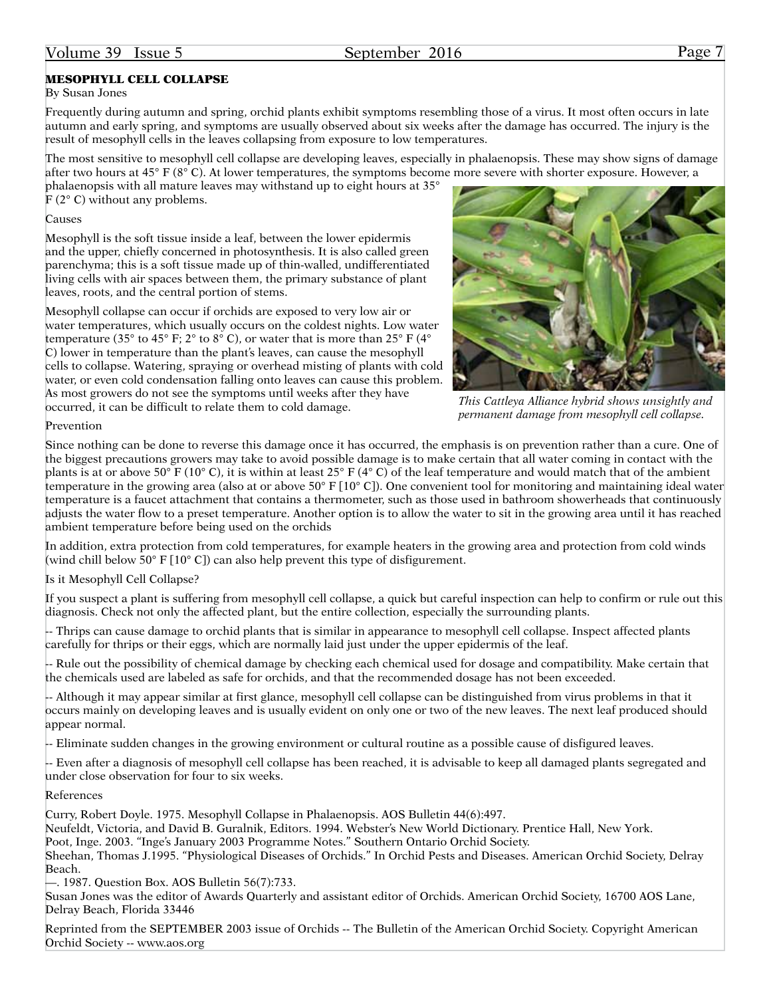#### Volume 39 Issue 5 September 2016 Page 7

#### MESOPHYLL CELL COLLAPSE

#### By Susan Jones

Frequently during autumn and spring, orchid plants exhibit symptoms resembling those of a virus. It most often occurs in late autumn and early spring, and symptoms are usually observed about six weeks after the damage has occurred. The injury is the result of mesophyll cells in the leaves collapsing from exposure to low temperatures.

The most sensitive to mesophyll cell collapse are developing leaves, especially in phalaenopsis. These may show signs of damage after two hours at  $45^{\circ}$  F ( $8^{\circ}$  C). At lower temperatures, the symptoms become more severe with shorter exposure. However, a

phalaenopsis with all mature leaves may withstand up to eight hours at 35° F (2° C) without any problems.

#### Causes

Mesophyll is the soft tissue inside a leaf, between the lower epidermis and the upper, chiefly concerned in photosynthesis. It is also called green parenchyma; this is a soft tissue made up of thin-walled, undifferentiated living cells with air spaces between them, the primary substance of plant leaves, roots, and the central portion of stems.

Mesophyll collapse can occur if orchids are exposed to very low air or water temperatures, which usually occurs on the coldest nights. Low water temperature (35° to 45° F; 2° to 8° C), or water that is more than 25° F (4° C) lower in temperature than the plant's leaves, can cause the mesophyll cells to collapse. Watering, spraying or overhead misting of plants with cold water, or even cold condensation falling onto leaves can cause this problem. As most growers do not see the symptoms until weeks after they have occurred, it can be difficult to relate them to cold damage.

![](_page_6_Picture_10.jpeg)

*This Cattleya Alliance hybrid shows unsightly and permanent damage from mesophyll cell collapse.*

#### Prevention

Since nothing can be done to reverse this damage once it has occurred, the emphasis is on prevention rather than a cure. One of the biggest precautions growers may take to avoid possible damage is to make certain that all water coming in contact with the plants is at or above 50° F (10° C), it is within at least 25° F (4° C) of the leaf temperature and would match that of the ambient temperature in the growing area (also at or above  $50^{\circ}$  F [10 $^{\circ}$  C]). One convenient tool for monitoring and maintaining ideal water temperature is a faucet attachment that contains a thermometer, such as those used in bathroom showerheads that continuously adjusts the water flow to a preset temperature. Another option is to allow the water to sit in the growing area until it has reached ambient temperature before being used on the orchids

In addition, extra protection from cold temperatures, for example heaters in the growing area and protection from cold winds (wind chill below 50° F [10° C]) can also help prevent this type of disfigurement.

#### Is it Mesophyll Cell Collapse?

If you suspect a plant is suffering from mesophyll cell collapse, a quick but careful inspection can help to confirm or rule out this diagnosis. Check not only the affected plant, but the entire collection, especially the surrounding plants.

-- Thrips can cause damage to orchid plants that is similar in appearance to mesophyll cell collapse. Inspect affected plants carefully for thrips or their eggs, which are normally laid just under the upper epidermis of the leaf.

-- Rule out the possibility of chemical damage by checking each chemical used for dosage and compatibility. Make certain that the chemicals used are labeled as safe for orchids, and that the recommended dosage has not been exceeded.

-- Although it may appear similar at first glance, mesophyll cell collapse can be distinguished from virus problems in that it occurs mainly on developing leaves and is usually evident on only one or two of the new leaves. The next leaf produced should appear normal.

-- Eliminate sudden changes in the growing environment or cultural routine as a possible cause of disfigured leaves.

-- Even after a diagnosis of mesophyll cell collapse has been reached, it is advisable to keep all damaged plants segregated and under close observation for four to six weeks.

#### References

Curry, Robert Doyle. 1975. Mesophyll Collapse in Phalaenopsis. AOS Bulletin 44(6):497.

Neufeldt, Victoria, and David B. Guralnik, Editors. 1994. Webster's New World Dictionary. Prentice Hall, New York.

Poot, Inge. 2003. "Inge's January 2003 Programme Notes." Southern Ontario Orchid Society.

Sheehan, Thomas J.1995. "Physiological Diseases of Orchids." In Orchid Pests and Diseases. American Orchid Society, Delray Beach.

—. 1987. Question Box. AOS Bulletin 56(7):733.

Susan Jones was the editor of Awards Quarterly and assistant editor of Orchids. American Orchid Society, 16700 AOS Lane, Delray Beach, Florida 33446

Reprinted from the SEPTEMBER 2003 issue of Orchids -- The Bulletin of the American Orchid Society. Copyright American Orchid Society --<www.aos.org>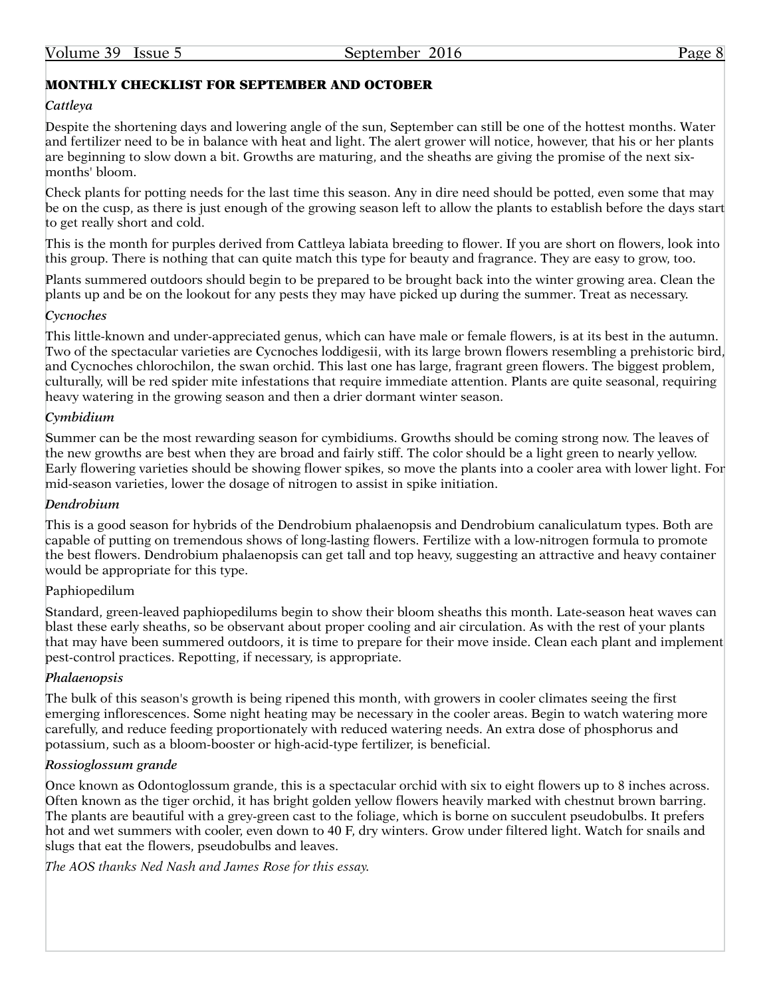#### MONTHLY CHECKLIST FOR SEPTEMBER AND OCTOBER

#### *Cattleya*

Despite the shortening days and lowering angle of the sun, September can still be one of the hottest months. Water and fertilizer need to be in balance with heat and light. The alert grower will notice, however, that his or her plants are beginning to slow down a bit. Growths are maturing, and the sheaths are giving the promise of the next sixmonths' bloom.

Check plants for potting needs for the last time this season. Any in dire need should be potted, even some that may be on the cusp, as there is just enough of the growing season left to allow the plants to establish before the days start to get really short and cold.

This is the month for purples derived from Cattleya labiata breeding to flower. If you are short on flowers, look into this group. There is nothing that can quite match this type for beauty and fragrance. They are easy to grow, too.

Plants summered outdoors should begin to be prepared to be brought back into the winter growing area. Clean the plants up and be on the lookout for any pests they may have picked up during the summer. Treat as necessary.

#### *Cycnoches*

This little-known and under-appreciated genus, which can have male or female flowers, is at its best in the autumn. Two of the spectacular varieties are Cycnoches loddigesii, with its large brown flowers resembling a prehistoric bird, and Cycnoches chlorochilon, the swan orchid. This last one has large, fragrant green flowers. The biggest problem, culturally, will be red spider mite infestations that require immediate attention. Plants are quite seasonal, requiring heavy watering in the growing season and then a drier dormant winter season.

#### *Cymbidium*

Summer can be the most rewarding season for cymbidiums. Growths should be coming strong now. The leaves of the new growths are best when they are broad and fairly stiff. The color should be a light green to nearly yellow. Early flowering varieties should be showing flower spikes, so move the plants into a cooler area with lower light. For mid-season varieties, lower the dosage of nitrogen to assist in spike initiation.

#### *Dendrobium*

This is a good season for hybrids of the Dendrobium phalaenopsis and Dendrobium canaliculatum types. Both are capable of putting on tremendous shows of long-lasting flowers. Fertilize with a low-nitrogen formula to promote the best flowers. Dendrobium phalaenopsis can get tall and top heavy, suggesting an attractive and heavy container would be appropriate for this type.

#### Paphiopedilum

Standard, green-leaved paphiopedilums begin to show their bloom sheaths this month. Late-season heat waves can blast these early sheaths, so be observant about proper cooling and air circulation. As with the rest of your plants that may have been summered outdoors, it is time to prepare for their move inside. Clean each plant and implement pest-control practices. Repotting, if necessary, is appropriate.

#### *Phalaenopsis*

The bulk of this season's growth is being ripened this month, with growers in cooler climates seeing the first emerging inflorescences. Some night heating may be necessary in the cooler areas. Begin to watch watering more carefully, and reduce feeding proportionately with reduced watering needs. An extra dose of phosphorus and potassium, such as a bloom-booster or high-acid-type fertilizer, is beneficial.

#### *Rossioglossum grande*

Once known as Odontoglossum grande, this is a spectacular orchid with six to eight flowers up to 8 inches across. Often known as the tiger orchid, it has bright golden yellow flowers heavily marked with chestnut brown barring. The plants are beautiful with a grey-green cast to the foliage, which is borne on succulent pseudobulbs. It prefers hot and wet summers with cooler, even down to 40 F, dry winters. Grow under filtered light. Watch for snails and slugs that eat the flowers, pseudobulbs and leaves.

*The AOS thanks Ned Nash and James Rose for this essay.*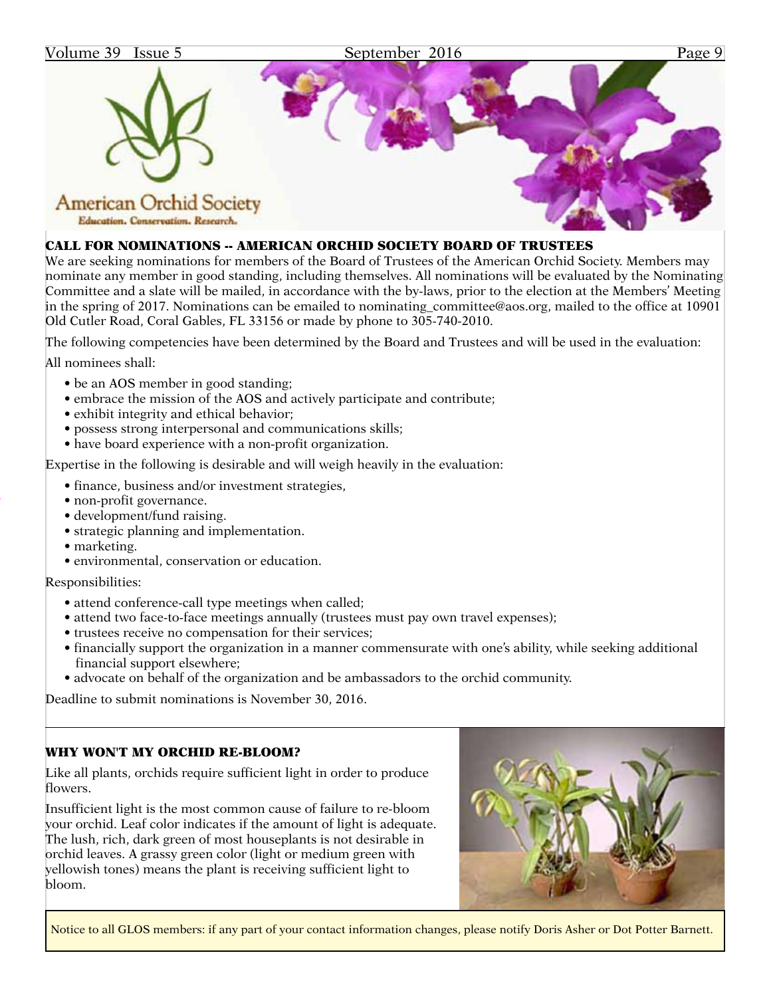![](_page_8_Picture_0.jpeg)

#### CALL FOR NOMINATIONS -- AMERICAN ORCHID SOCIETY BOARD OF TRUSTEES

We are seeking nominations for members of the Board of Trustees of the American Orchid Society. Members may nominate any member in good standing, including themselves. All nominations will be evaluated by the Nominating Committee and a slate will be mailed, in accordance with the by-laws, prior to the election at the Members' Meeting in the spring of 2017. Nominations can be emailed to [nominating\\_committee@aos.org](mailto:nominating_committee@aos.org), mailed to the office at 10901 Old Cutler Road, Coral Gables, FL 33156 or made by phone to 305-740-2010.

The following competencies have been determined by the Board and Trustees and will be used in the evaluation:

All nominees shall:

- be an AOS member in good standing;
- embrace the mission of the AOS and actively participate and contribute;
- exhibit integrity and ethical behavior;
- possess strong interpersonal and communications skills;
- have board experience with a non-profit organization.

Expertise in the following is desirable and will weigh heavily in the evaluation:

- finance, business and/or investment strategies,
- non-profit governance.
- development/fund raising.
- strategic planning and implementation.
- marketing.
- environmental, conservation or education.

Responsibilities:

- attend conference-call type meetings when called;
- attend two face-to-face meetings annually (trustees must pay own travel expenses);
- trustees receive no compensation for their services;
- financially support the organization in a manner commensurate with one's ability, while seeking additional financial support elsewhere;
- advocate on behalf of the organization and be ambassadors to the orchid community.

Deadline to submit nominations is November 30, 2016.

#### WHY WON'T MY ORCHID RE-BLOOM?

Like all plants, orchids require sufficient light in order to produce flowers.

Insufficient light is the most common cause of failure to re-bloom your orchid. Leaf color indicates if the amount of light is adequate. The lush, rich, dark green of most houseplants is not desirable in orchid leaves. A grassy green color (light or medium green with yellowish tones) means the plant is receiving sufficient light to bloom.

![](_page_8_Picture_27.jpeg)

Notice to all GLOS members: if any part of your contact information changes, please notify Doris Asher or Dot Potter Barnett.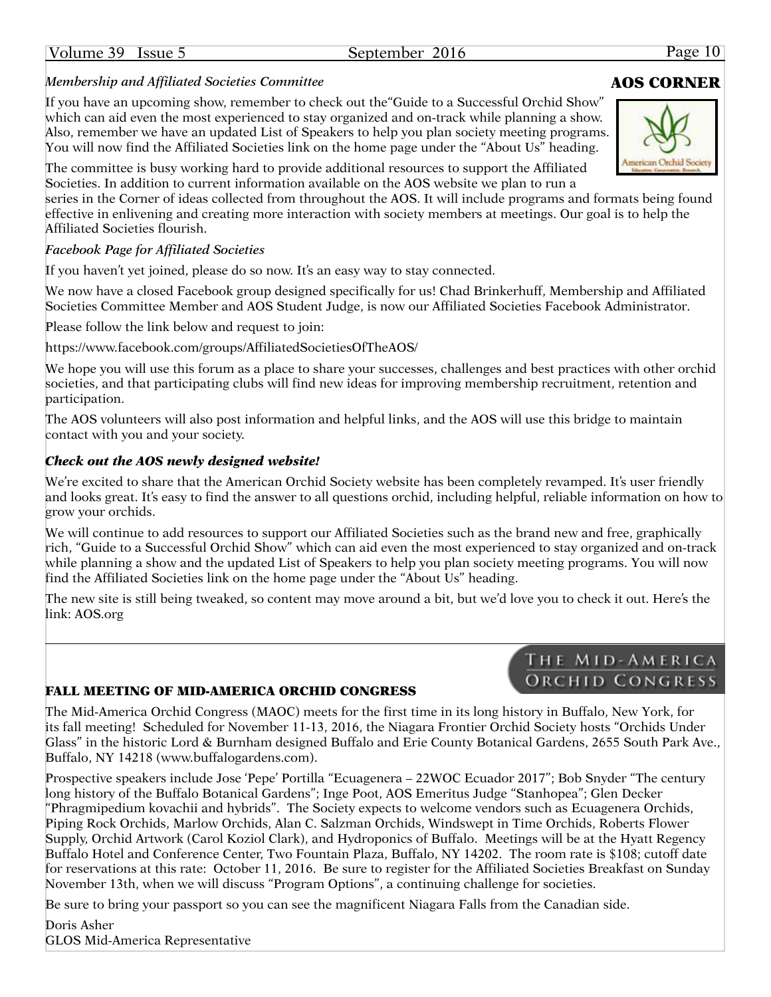# *Membership and Affiliated Societies Committee*

If you have an upcoming show, remember to check out the"Guide to a Successful Orchid Show" which can aid even the most experienced to stay organized and on-track while planning a show. Also, remember we have an updated List of Speakers to help you plan society meeting programs. You will now find the Affiliated Societies link on the home page under the "About Us" heading.

The committee is busy working hard to provide additional resources to support the Affiliated Societies. In addition to current information available on the AOS website we plan to run a

series in the Corner of ideas collected from throughout the AOS. It will include programs and formats being found effective in enlivening and creating more interaction with society members at meetings. Our goal is to help the Affiliated Societies flourish.

#### *Facebook Page for Affiliated Societies*

If you haven't yet joined, please do so now. It's an easy way to stay connected.

We now have a closed Facebook group designed specifically for us! Chad Brinkerhuff, Membership and Affiliated Societies Committee Member and AOS Student Judge, is now our Affiliated Societies Facebook Administrator.

Please follow the link below and request to join:

<https://www.facebook.com/groups/AffiliatedSocietiesOfTheAOS>/

We hope you will use this forum as a place to share your successes, challenges and best practices with other orchid societies, and that participating clubs will find new ideas for improving membership recruitment, retention and participation.

The AOS volunteers will also post information and helpful links, and the AOS will use this bridge to maintain contact with you and your society.

#### *Check out the AOS newly designed website!*

We're excited to share that the American Orchid Society website has been completely revamped. It's user friendly and looks great. It's easy to find the answer to all questions orchid, including helpful, reliable information on how to grow your orchids.

We will continue to add resources to support our Affiliated Societies such as the brand new and free, graphically rich, "Guide to a Successful Orchid Show" which can aid even the most experienced to stay organized and on-track while planning a show and the updated List of Speakers to help you plan society meeting programs. You will now find the Affiliated Societies link on the home page under the "About Us" heading.

The new site is still being tweaked, so content may move around a bit, but we'd love you to check it out. Here's the link: [AOS.org](http://www.aos.org)

#### FALL MEETING OF MID-AMERICA ORCHID CONGRESS

The Mid-America Orchid Congress (MAOC) meets for the first time in its long history in Buffalo, New York, for its fall meeting! Scheduled for November 11-13, 2016, the Niagara Frontier Orchid Society hosts "Orchids Under Glass" in the historic Lord & Burnham designed Buffalo and Erie County Botanical Gardens, 2655 South Park Ave., Buffalo, NY 14218 ([www.buffalogardens.com\)](www.buffalogardens.com).

Prospective speakers include Jose 'Pepe' Portilla "Ecuagenera – 22WOC Ecuador 2017"; Bob Snyder "The century long history of the Buffalo Botanical Gardens"; Inge Poot, AOS Emeritus Judge "Stanhopea"; Glen Decker "Phragmipedium kovachii and hybrids". The Society expects to welcome vendors such as Ecuagenera Orchids, Piping Rock Orchids, Marlow Orchids, Alan C. Salzman Orchids, Windswept in Time Orchids, Roberts Flower Supply, Orchid Artwork (Carol Koziol Clark), and Hydroponics of Buffalo. Meetings will be at the Hyatt Regency Buffalo Hotel and Conference Center, Two Fountain Plaza, Buffalo, NY 14202. The room rate is \$108; cutoff date for reservations at this rate: October 11, 2016. Be sure to register for the Affiliated Societies Breakfast on Sunday November 13th, when we will discuss "Program Options", a continuing challenge for societies.

Be sure to bring your passport so you can see the magnificent Niagara Falls from the Canadian side.

Doris Asher GLOS Mid-America Representative

![](_page_9_Picture_22.jpeg)

## THE MID-AMERICA ORCHID CONGRESS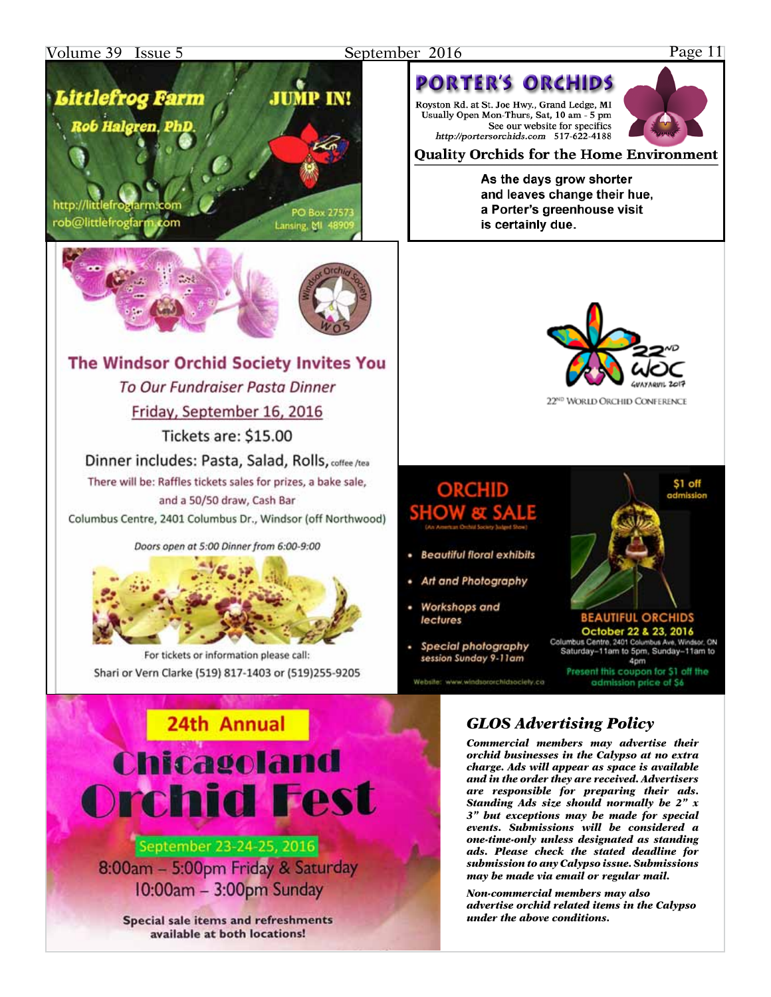### Volume 39 Issue 5

#### September 2016

#### Page 11

# Littlefrog Farm **Rob Halgren, PhD**

http://littlefroglarm.c rob@littlefrogfarm.com

Lansing, MI 489

**JUMP IN!** 

![](_page_10_Picture_6.jpeg)

# The Windsor Orchid Society Invites You To Our Fundraiser Pasta Dinner Friday, September 16, 2016 Tickets are: \$15.00

Dinner includes: Pasta, Salad, Rolls, coffee /tea There will be: Raffles tickets sales for prizes, a bake sale, and a 50/50 draw, Cash Bar

Columbus Centre, 2401 Columbus Dr., Windsor (off Northwood)

Doors open at 5:00 Dinner from 6:00-9:00

![](_page_10_Picture_11.jpeg)

For tickets or information please call: Shari or Vern Clarke (519) 817-1403 or (519)255-9205

![](_page_10_Picture_13.jpeg)

## September 23-24-25, 2016 8:00am - 5:00pm Friday & Saturday 10:00am - 3:00pm Sunday

Special sale items and refreshments available at both locations!

## **PORTER'S ORCHIDS** Royston Rd. at St. Joe Hwy., Grand Ledge, MI

Usually Open Mon-Thurs, Sat, 10 am - 5 pm See our website for specifics http://portersorchids.com 517-622-4188

![](_page_10_Picture_18.jpeg)

#### As the days grow shorter and leaves change their hue, a Porter's greenhouse visit is certainly due.

![](_page_10_Picture_20.jpeg)

22<sup>ND</sup> WORLD ORCHID CONFERENCE

# ORCHID **SHOW**

- **Beautiful floral exhibits**
- Art and Photography
- Workshops and lectures
- Special photography session Sunday 9-11am

Website: www.windsororchidsociety.co

![](_page_10_Picture_27.jpeg)

**BEAUTIFUL ORCHIDS** October 22 & 23, 2016<br>Columbus Centre, 2401 Columbus Ave, Wind Saturday-11am to 5pm, Sunday-11am to 4pm Present this coupon for \$1 off the admission price of \$6

**GLOS Advertising Policy** 

Commercial members may advertise their orchid businesses in the Calypso at no extra charge. Ads will appear as space is available and in the order they are received. Advertisers are responsible for preparing their ads. Standing Ads size should normally be  $2" x$ 3" but exceptions may be made for special events. Submissions will be considered a one-time-only unless designated as standing ads. Please check the stated deadline for submission to any Calypso issue. Submissions may be made via email or regular mail.

Non-commercial members may also advertise orchid related items in the Calypso under the above conditions.